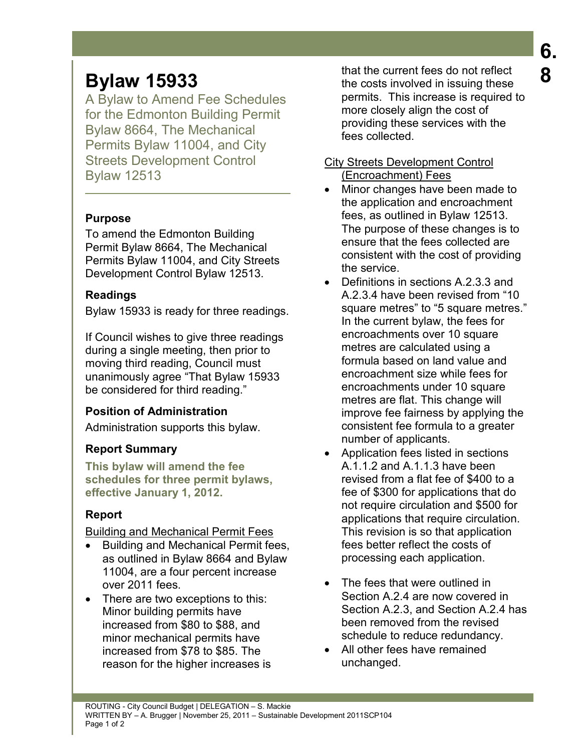# **Bylaw 15933**

A Bylaw to Amend Fee Schedules for the Edmonton Building Permit Bylaw 8664, The Mechanical Permits Bylaw 11004, and City Streets Development Control Bylaw 12513

# **Purpose**

To amend the Edmonton Building Permit Bylaw 8664, The Mechanical Permits Bylaw 11004, and City Streets Development Control Bylaw 12513.

#### **Readings**

Bylaw 15933 is ready for three readings.

If Council wishes to give three readings during a single meeting, then prior to moving third reading, Council must unanimously agree "That Bylaw 15933 be considered for third reading."

## **Position of Administration**

Administration supports this bylaw.

## **Report Summary**

**This bylaw will amend the fee schedules for three permit bylaws, effective January 1, 2012.** 

## **Report**

Building and Mechanical Permit Fees

- Building and Mechanical Permit fees, as outlined in Bylaw 8664 and Bylaw 11004, are a four percent increase over 2011 fees.
- There are two exceptions to this: Minor building permits have increased from \$80 to \$88, and minor mechanical permits have increased from \$78 to \$85. The reason for the higher increases is

that the current fees do not reflect the costs involved in issuing these permits. This increase is required to more closely align the cost of providing these services with the fees collected.

#### City Streets Development Control (Encroachment) Fees

- Minor changes have been made to the application and encroachment fees, as outlined in Bylaw 12513. The purpose of these changes is to ensure that the fees collected are consistent with the cost of providing the service.
- Definitions in sections A.2.3.3 and A.2.3.4 have been revised from "10 square metres" to "5 square metres." In the current bylaw, the fees for encroachments over 10 square metres are calculated using a formula based on land value and encroachment size while fees for encroachments under 10 square metres are flat. This change will improve fee fairness by applying the consistent fee formula to a greater number of applicants.
- Application fees listed in sections A.1.1.2 and A.1.1.3 have been revised from a flat fee of \$400 to a fee of \$300 for applications that do not require circulation and \$500 for applications that require circulation. This revision is so that application fees better reflect the costs of processing each application.
- The fees that were outlined in Section A.2.4 are now covered in Section A.2.3, and Section A.2.4 has been removed from the revised schedule to reduce redundancy.
- All other fees have remained unchanged.